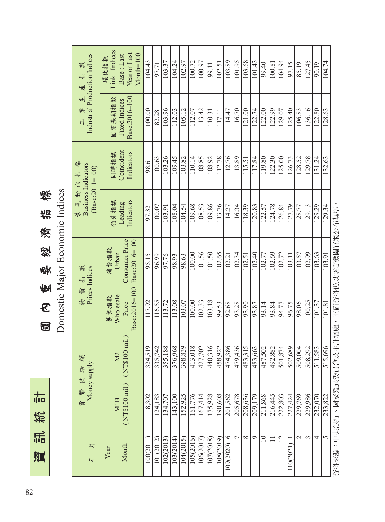訊統計 資訊統計資

國內重要經濟指標<br>Domestic Major Economic Indices 國 內 重 要 經 濟 指 標

Domestic Major Economic Indices

| 數<br>盐<br>產                                               | Link Indices<br>Year or Last<br>$M$ onth= $100$<br>Base : Last<br>環比指數 | 104.43      | 97.71       | 103.37      | 104.24      | 102.97                 | 100.72    | 100.97                 | 99.11       | 102.51      | 103.89      | 101.95         | 103.68   | 101.43                         | 99.40            | 100.81                 | 104.94  | 97.15                  | 85.19         | 127.45  | 90.19       | 104.74                     |
|-----------------------------------------------------------|------------------------------------------------------------------------|-------------|-------------|-------------|-------------|------------------------|-----------|------------------------|-------------|-------------|-------------|----------------|----------|--------------------------------|------------------|------------------------|---------|------------------------|---------------|---------|-------------|----------------------------|
| Industrial Production Indices<br>보<br>業<br>$\overline{H}$ | Base:2016=100<br>固定基期指數<br>Fixed Indices                               | 100.00      | 82.28       | 103.96      | 112.03      | 105.12                 | 112.07    | 113.42                 | 110.31      | 117.11      | 114.47      | 116.70         | 121.00   | 122.74                         | 122.00           | 122.99                 | 129.07  | 125.40                 | 106.83        | 136.16  | 122.80      | 128.63                     |
| 景氣動向指標<br><b>Business Indicators</b>                      | Coincident<br>Indicators<br>同時指標                                       | 98.61       | 100.63      | 103.26      | 109.45      | 103.82                 | 110.14    | 108.85                 | 108.92      | 112.78      | 112.76      | 113.89         | 115.51   | 117.84                         | 119.80           | 122.30                 | 125.00  | 126.73                 | 128.52        | 129.78  | 131.24      | 132.63                     |
| $(Base:2011=100)$                                         | Indicators<br>領先指標<br>Leading                                          | 97.32       | 100.07      | 103.91      | 108.04      | 104.54                 | 109.68    | 108.53                 | 109.86      | 113.76      | 114.27      | 116.34         | 118.39   | 120.83                         | 122.57           | 124.78                 | 126.84  | 127.79                 | 128.77        | 129.13  | 129.29      | 129.34                     |
| 糞<br>盐                                                    | <b>Consumer Price</b><br>Base:2016=100<br>消費指數<br>Urban                | 95.15       | 96.99       | 97.76       | 98.93       | 98.63                  | 100.00    | 101.56                 | 101.50      | 102.65      | 102.21      | 102.34         | 102.51   | 102.40                         | 102.77           | 102.69                 | 102.72  | 103.11                 | 103.57        | 102.99  | 103.63      | エーエー・スティー アイス・エー<br>103.91 |
| Prices Indices<br>物價                                      | Base:2016=100<br>Wholesale<br>遵售指數<br>Price                            | 117.92      | 116.55      | 113.72      | 113.08      | 103.07                 | 100.00    | 102.33                 | 103.18      | 99.53       | 92.68       | 93.28          | 93.90    | 93.87                          | 93.14            | 93.84                  | 94.77   | 96.75                  | 98.06         | 100.25  | 101.37      | 101.81                     |
| 貘                                                         | (NT\$100 mi]<br>M2                                                     | 519<br>324, | 742<br>335, | 188<br>355, | 968<br>376, | 839<br>398,            | 018       | 702<br>$rac{413}{427}$ | 316<br>440, | 922<br>458, | 386<br>474, | 436<br>479,    | 315      | $\sqrt{63}$<br>$rac{483}{483}$ | $\overline{502}$ | 882<br>$rac{487}{492}$ | 874     | 689<br>$rac{501}{502}$ | 004<br>509,   | 508,292 | 583<br>511, | 696<br>515,                |
| Money supply<br>貨幣供給                                      | $(NTS100 \text{ mil})$<br>MIB                                          | 118,302     | 124,183     | 134,707     | 143,100     | 152,925                | 161,776   | 167,414                | 175,928     | 190,608     | 201,562     | 205,678        | 208,636  | 209,179                        | 211,868          | 216,445                | 222,803 | 227,424                | 229,769       | 229,986 | 232,070     | 233,822<br>그 시급 소          |
| 呎<br><b>年</b>                                             | Month<br>Year                                                          | 100(2011)   | 101(2012)   | 102(2013)   | 103(2014)   | $\frac{104(2015)}{20}$ | 105(2016) | 106(2017)              | 107(2018)   | 108(2019)   | 109(2020) 6 | $\overline{ }$ | $\infty$ | $\circ$                        | $\overline{10}$  |                        | 12      | 110(2021)              | $\mathcal{L}$ | 3       | 4           | 5<br>$\frac{1}{2}$         |

資料來源:中央銀行、國家發展委員會及主計總處,正確資料仍以該等機關官網公布為準。 資料來源:中央銀行、國家發展委員會及主計總處,正確資料仍以該等機關官網公布為準。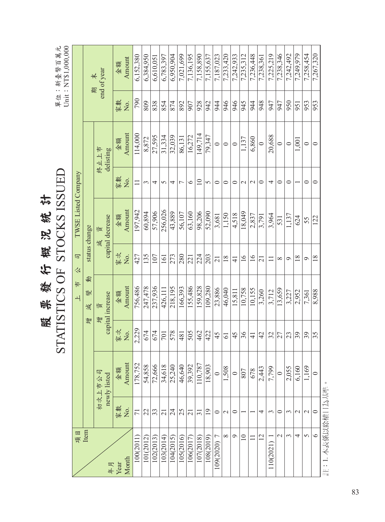|                             |                 |                        |               |                            |                 | STATISTICS OF STOCKS ISSUED |                 |                   |     | Unit: NT\$1,000,000<br>單位:新臺幣百萬元 |
|-----------------------------|-----------------|------------------------|---------------|----------------------------|-----------------|-----------------------------|-----------------|-------------------|-----|----------------------------------|
| 項目                          |                 |                        |               | 乍<br>$\overline{+}$        | 司<br>公          | TWSE Listed Company         |                 |                   |     |                                  |
| Item                        |                 |                        | 寧             | 剦<br>變<br>減                |                 | status change               |                 |                   |     |                                  |
| 年月                          |                 | 初次上市公司<br>newly listed |               | capital increase<br>資<br>寧 |                 | capital decrease<br>資<br>減  |                 | 終止上市<br>delisting | 期   | end of year<br>未                 |
| Year                        | 家數              | 金額                     | 家次            | 金額                         | 家次              | 金額                          | 家數              | 金額                | 家數  | 金額                               |
| Month                       | Χo.             | Amount                 | Χo.           | Amount                     | Χo.             | Amount                      | Χo.             | Amount            | Χo. | Amount                           |
| 100(2011                    | 71              | 178,752                | 2.229         | 756,486                    | 427             | 197.942                     | $\Box$          | 114,000           | 790 | 6.152.380                        |
| 101(2012)                   | 22              | 54,858                 | 674           | 247,478                    | 135             | 60,894                      | 3               | 8,872             | 809 | 6,384,950                        |
| 102(2013)                   | 33              | 72,666                 | 674           | 237,936                    | 107             | 57,906                      | 4               | 27,595            | 838 | 6,610,05                         |
| 103(2014)                   | 21              | 34,618                 | 701           | 426,111                    | 161             | 256,026                     | 5               | 31,334            | 854 | 6,783,397                        |
| 104(2015)                   | 24              | 25,240                 | 578           | 218,195                    | 273             | 43,889                      | 4               | 32,039            | 874 | 6,950,904                        |
| 105(2016)                   | 25              | 46,640                 | 481           | 166,393                    | 280             | 56,107                      | $\overline{ }$  | 86,131            | 892 | 7,021,699                        |
| 106(2017)                   | $\overline{21}$ | 39,392                 | 505           | 155,486                    | 221             | 63,160                      | $\circ$         | 16,272            | 907 | 7,136,195                        |
| 107(2018)                   | $\overline{31}$ | 110,787                | 462           | 159,828                    | 224             | 98,206                      | $\overline{10}$ | 149,714           | 928 | 7,158,890                        |
| 108(2019)                   | $\overline{1}$  | 18,903                 | 422           | 109,280                    | 203             | 52,090                      | 5               | 79,347            | 942 | 7,155,637                        |
| $\overline{C}$<br>109(2020) | $\circ$         | $\circ$                | 45            | 23,886                     | $\overline{21}$ | 3,681                       | $\circ$         | $\circ$           | 944 | 7,187,023                        |
| $\infty$                    | $\mathbf{\sim}$ | 1,508                  | 61            | 46,040                     | $\frac{8}{18}$  | 1,150                       | $\circ$         | $\circ$           | 946 | 7,233,420                        |
| $\circ$                     | $\circ$         |                        | 45            | 15,811                     | $\overline{4}$  | 4,518                       | 0               | $\circ$           | 946 | 7,242,933                        |
| $\overline{10}$             |                 | 807                    | 36            | 10,758                     | $\overline{16}$ | 18,049                      | $\sim$          | 1,137             | 945 | 7,235,312                        |
| $\Box$                      |                 | 678                    | $\frac{4}{5}$ | 10,155                     | $\geq$          | 2,837                       | $\sim$          | 6,860             | 944 | 7,236,448                        |
| 12                          | 4               | 2,443                  | 42            | 3,260                      | $\overline{21}$ | 3,791                       | $\circ$         | $\circ$           | 948 | 7,238,361                        |
| 10(2021)                    | 3               | 7,799                  | 32            | 3,712                      |                 | 3,964                       | 4               | 20,688            | 947 | 7,225,219                        |
| $\mathcal{L}$               | 0               | $\circ$                | 27            | 13,659                     | $\infty$        | 531                         | $\circ$         | $\circ$           | 947 | 7,238,346                        |
| 3                           | 3               | 2,055                  | 23            | 3.227                      | $\circ$         | 1,137                       | $\circ$         | $\circ$           | 950 | 7,242,492                        |
| 4                           | $\mathcal{C}$   | 6,160                  | 39            | 2,952                      | 18              | 624                         |                 | 1,001             | 951 | 7,249,979                        |
| $\Omega$                    | $\mathbf 2$     | 1,169                  | 39            | 7.361                      | Ò               | 55                          | $\circ$         | 0                 | 953 | 7,258,454                        |
| $\circ$                     | $\circ$         | $\circ$                | 35            | 8,988                      | 18              | 122                         | $\circ$         | $\circ$           | 953 | 7,267,320                        |

禹毗徽 佑 義 治 義 学<br>STATISTICS OF STOCKS ISSIED 股票發行概況統計

83

註:1. 本表係以除權日為基準。

註:1.本表係以除權日為基準。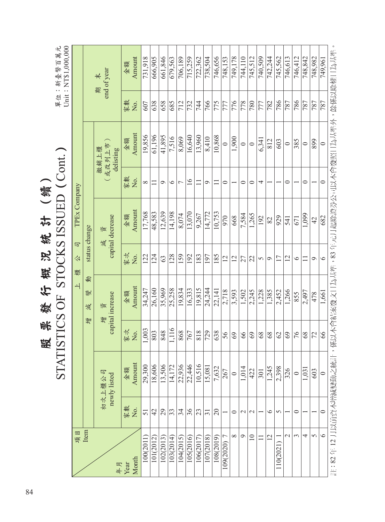| Unit: NT\$1,000,000<br>: 新臺幣百萬元<br>單位 |                     |               | end of year<br>未<br>期      | Amount<br>金額<br>家數<br>Σ. | 731,918<br>607 | 666,905<br>638 | 661,846<br>658 | 679,563<br>685 | 706,189<br>712 | 715,259<br>732 | 722,362<br>744 | 738,504<br>766  | 746,656<br>775 | 748,153<br>777 | 749,178<br>776 | 744,110<br>778 | 745,512<br>780  | 740,509<br>777 | 742,244<br>782 | 745,562<br>786 | 746,613<br>787 | 746,412<br>786 | 748,842<br>787 | 748.982<br>787 | 749,961<br>787 | ,係以本會結案發文日為基準,83年元月起除證券公司以本會發照日為基準外,餘係以除權日為基準 |
|---------------------------------------|---------------------|---------------|----------------------------|--------------------------|----------------|----------------|----------------|----------------|----------------|----------------|----------------|-----------------|----------------|----------------|----------------|----------------|-----------------|----------------|----------------|----------------|----------------|----------------|----------------|----------------|----------------|-----------------------------------------------|
|                                       |                     |               | 或改列上市<br>撤銷上櫃<br>delisting | Amount<br>金額             | 19,856         | 61,196         | 41,895         | 7,516          | 8,069          | 16,640         | 13,960         | 8,410           | 10,868         | $\circ$        | 1,900          | $\circ$        | $\circ$         | 6,341          | 812            | 603            | $\circ$        | 385            | $\circ$        | 899            | $\circ$        |                                               |
|                                       |                     |               |                            | 家數<br>,<br>Ž             | $\infty$       | $\Box$         | Ó              | $\circ$        | $\overline{ }$ | $\geq$         | $\Box$         | $\circ$         | 〓              | $\circ$        |                | 0              | $\circ$         | 4              |                |                | $\circ$        |                | $\circ$        |                | $\circ$        |                                               |
|                                       | TPEx Company        |               | capital decrease<br>資      | Amount<br>金額             | 17,768         | 48,583         | 12,639         | 14,198         | 8,074          | 13,070         | 9,267          | 14,772          | 10,753         | 970            | 668            | 7,584          | 1,265           | 192            | 82             | 929            | 541            | 671            | 1,099          | 42             | 682            |                                               |
|                                       | 同<br>公              | status change | 減                          | 家文<br>Σ.                 | 122            | 124            | 63             | 128            | 159            | 192            | 183            | 197             | 185            | 12             | 12             | 27             | 22              | 5              | $\circ$        | 17             | 12             | $\circ$        |                | $\circ$        | $\circ$        |                                               |
| STATISTICS OF STOCKS ISSUED (Cont.)   | 檀<br>$\overline{+}$ | 動<br>變<br>減   | capital increase<br>資      | Amount<br>金額             | 34,247         | 26,160         | 35,969         | 25,258         | 19,834         | 16,333         | 19,815         | 24,244          | 22,141         | 2,718          | 3,593          | 1,502          | 2,245           | 1,228          | 1,385          | 2,452          | 1,266          | 855            | 2,497          | 478            | 1,661          |                                               |
|                                       |                     | 寧             | 寧                          | 家文<br>Δ.                 | 1,003          | 803            | 848            | 1,116          | 868            | 767            | 818            | 729             | 638            | 56             | 69             | 66             | 69              | $\frac{8}{3}$  | 8 <sup>9</sup> | $\infty$       | 69             | 76             | 68             | 72             | 66             |                                               |
|                                       |                     |               | 初次上櫃公司<br>newly listed     | Amount<br>金額             | 29,300         | 18,606         | 13,506         | 14,172         | 22,936         | 22,446         | 10,516         | 15,081          | 7,632          | 267            | $\circ$        | 1,014          | 422             | 301            | 1,245          | 2,398          | 326            | $\circ$        | 1,031          | 603            | $\circ$        |                                               |
|                                       |                     |               |                            | 家數<br>No.                | 51             | 42             | 29             | 33             | 34             | 36             | 23             | $\overline{31}$ | 20             |                | $\circ$        | $\mathcal{L}$  | $\mathbf 2$     |                | $\circ$        | $\sigma$       |                | 0              |                |                | $\circ$        |                                               |
|                                       | 項目                  | Item          | 年月                         | Month<br>Year            | 100(2011)      | 101(2012)      | 102(2013)      | 103(2014)      | 104(2015)      | 105(2016)      | 106(2017)      | 107(2018)       | 108(2019)      | Γ<br>109(2020) | $\infty$       | $\sigma$       | $\overline{10}$ | $\Box$         | $\overline{2}$ | 110(2021)      | $\mathcal{L}$  | ω              | 4              | $\Omega$       | $\circ$        | 註:82年12月以前資本增減變動之統計                           |

股 票 發 行 概 況 統 計 (續)  $\zeta$ 哪赖行蔑沉瓷 \$+ (續) 股 F<br>F<br>F<br>F<br>C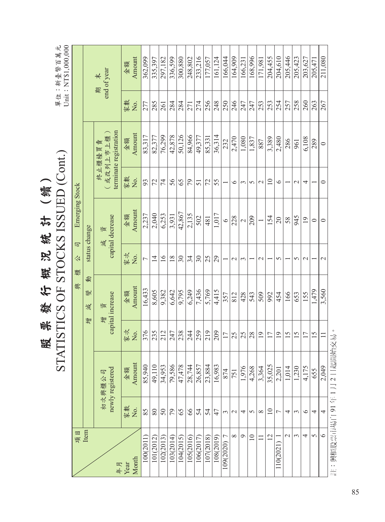|                |                       |                            |                 |                            |                          | STATISTICS OF STOCKS ISSUED (Cont.) |                |                                             |           | Unit: NT\$1,000,000<br>單位:新臺幣百萬元    |
|----------------|-----------------------|----------------------------|-----------------|----------------------------|--------------------------|-------------------------------------|----------------|---------------------------------------------|-----------|-------------------------------------|
| 項目             |                       |                            |                 | 興                          | 司<br>公<br>檀              | <b>Emerging Stock</b>               |                |                                             |           |                                     |
| Item           |                       |                            | 增               | 剦<br>變<br>減                |                          | status change                       |                |                                             |           |                                     |
| 年月             |                       | newly registered<br>初次興櫃公司 |                 | capital increase<br>資<br>尊 | 減                        | capital decrease<br>資               |                | terminate registration<br>(或改列上市上櫃<br>終止櫃檯買 | 期         | end of year<br>$\frac{1}{\sqrt{2}}$ |
| Month<br>Year  | 家數<br>Χo.             | Amount<br>金額               | 家文<br>No.       | Amount<br>金額               | 家文<br>Χo.                | Amount<br>金額                        | 家數<br>, òd     | Amount<br>金額                                | 家數<br>Σò. | Amount<br>金額                        |
| 100(2011       | 85                    | 85,940                     | 376             | 16,433                     | $\overline{ }$           | 2,237                               | 93             | 83,317                                      | 277       | 362,099                             |
| 101(2012)      | 80                    | 49,110                     | 235             | 8,605                      | $\overline{1}$           | 2,040                               | 72             | 82,377                                      | 285       | 335,397                             |
| 102(2013)      | $50\,$                | 34,953                     | 212             | 9,382                      | $\overline{16}$          | 6,253                               | $\overline{7}$ | 76,299                                      | 261       | 297,182                             |
| 103(2014)      | 79                    | 79,586                     | 247             | 6,642                      | 18                       | 3,931                               | 56             | 42,878                                      | 284       | 336,599                             |
| 104(2015)      | 65                    | 47,478                     | 238             | 9,795                      | 30                       | 42,867                              | 65             | 50,126                                      | 284       | 300,880                             |
| 105(2016)      | $66$                  | 28,744                     | 244             | 6,249                      | 34                       | 2,135                               | 79             | 84,966                                      | 271       | 248,802                             |
| 106(2017)      | 54                    | 26,857                     | 259             | 7,436                      | $30\,$                   | 502                                 | 51             | 49,377                                      | 274       | 233,216                             |
| 107(2018)      | 54                    | 23,884                     | 219             | 5,769                      | 25                       | 481                                 | 72             | 85.331                                      | 256       | 177,057                             |
| 108(2019)      | 47                    | 16,983                     | 209             | 4,415                      | 29                       | 1,017                               | 55             | 36,314                                      | 248       | 161,124                             |
| 7<br>109(2020) | $\tilde{\phantom{0}}$ | 874                        | 17              | 357                        |                          | $\circ$                             |                | 232                                         | 250       | 166,044                             |
| $\infty$       | $\mathcal{L}$         | 751                        | 25              | 812                        | $\mathbf 2$              | 228                                 | $\circ$        | 2,470                                       | 246       | 164,909                             |
| $\mathcal{Q}$  | 4                     | 1,976                      | 25              | 428                        | $\tilde{\phantom{0}}$    | $\mathcal{L}$                       | $\epsilon$     | 1,080                                       | 247       | 166,231                             |
| 10             | $\mathcal{L}$         | 4,268                      | 28              | 543                        | $\overline{\phantom{0}}$ | 209                                 | $\sigma$       | 1,837                                       | 247       | 168,996                             |
|                | $\infty$              | 3,364                      | $\overline{19}$ | 509                        | $\mathcal{L}$            |                                     | $\mathbf{C}$   | 887                                         | 253       | 171,981                             |
| $\overline{2}$ | $\supseteq$           | 35,025                     | 17              | 992                        |                          | 154                                 | $\supseteq$    | 3,389                                       | 253       | 204,455                             |
| 110(2021)      | 7                     | 2,201                      | $^{19}$         | 454                        | 5                        | $\overline{20}$                     | $\circ$        | 2,480                                       | 254       | 204,610                             |
| $\mathcal{L}$  | 4                     | 1,014                      | 15              | 166                        |                          | 58                                  |                | 286                                         | 257       | 205,446                             |
| $\epsilon$     | 3                     | 1,230                      | 15              | 653                        | S                        | 945                                 | $\mathcal{L}$  | 961                                         | 258       | 205,423                             |
| 4              | $\circ$               | 4,175                      | $\overline{17}$ | 155                        | $\mathcal{L}$            | $\overline{19}$                     | 4              | 6,108                                       | 260       | 203,627                             |
| $\sigma$       | 4                     | 655                        | 15              | 1,479                      |                          | $\circ$                             |                | 289                                         | 263       | 205.471                             |
| $\circ$        | 4                     | 2,049                      | $\Box$          | 3,560                      | $\mathcal{L}$            | $\circ$                             | $\circ$        | $\circ$                                     | 267       | 211,080                             |
|                |                       | 註:興櫃股票市場自 91年1月2日起開始交易     |                 |                            |                          |                                     |                |                                             |           |                                     |

 $\overline{\phantom{a}}$ **照明徽行载的统计(織)** 股 票 發 行 概 況 統 計 (續)

85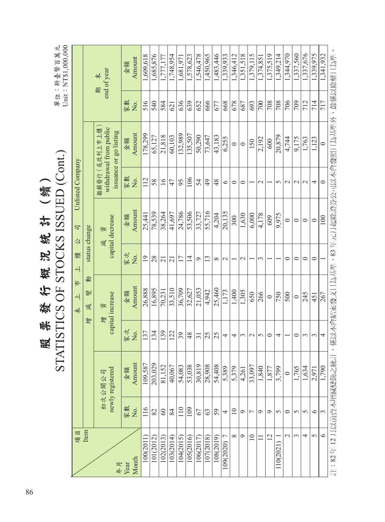|                             |                 |                            |                     | STATISTICS OF STOCKS ISSUED (Cont.) |                     |                            |                  |                                                                  |          | Unit: NT\$1,000,000<br>單位:新臺幣百萬元         |  |
|-----------------------------|-----------------|----------------------------|---------------------|-------------------------------------|---------------------|----------------------------|------------------|------------------------------------------------------------------|----------|------------------------------------------|--|
| 項目                          |                 |                            |                     | #<br>$\overline{\phantom{0}}$<br>未  | 檀<br>$\rightarrow$  | 司<br>公                     | Unlisted Company |                                                                  |          |                                          |  |
| Item                        |                 |                            |                     | 動<br>變<br>減<br>彎                    |                     | status change              |                  |                                                                  |          |                                          |  |
| 年月                          |                 | newly registered<br>初次公開公司 |                     | capital increase<br>資<br>增          |                     | capital decrease<br>資<br>減 |                  | withdrawal from public<br>撤銷發行(或改列上市上櫃<br>issuance or go listing |          | end of year<br>$\frac{1}{\sqrt{2}}$<br>斯 |  |
| Month<br>Year               | 家數<br>Χo.       | Amount<br>金額               | 家文<br>Δ.            | Amount<br>金額                        | 家文<br>Σ.            | Amount<br>金額               | 家數<br>Χo.        | Amount<br>金額                                                     | 家數<br>Σ. | Amount<br>金額                             |  |
| 100(2011                    | 116             | 109,587                    | 137                 | 26,888                              | 19                  | 25,441                     | 112              | 178,299                                                          | 516      | 1,609,618                                |  |
| 101(2012)                   | 82              | 203,029                    | 134                 | 16,895                              | 28                  | 78,539                     | 58               | 65,127                                                           | 540      | 1,685,876                                |  |
| 102(2013)                   | $\infty$        | 81,152                     | 139                 | 70,231                              | $\overline{21}$     | 38,264                     | $\frac{6}{1}$    | 21,818                                                           | 584      | 1,777,177                                |  |
| 103(2014)                   | 84              | 40,067                     | 122                 | 33,510                              | 21                  | 41,697                     | 47               | 60,103                                                           | 621      | 1,748,954                                |  |
| 104(2015)                   | 110             | 54,083                     | 39                  | 36,709                              | 17                  | 24,786                     | 95               | 132,989                                                          | 636      | 1,681,97                                 |  |
| 105(2016)                   | 109             | 53,038                     | $\frac{8}{3}$       | 32,627                              | $\overline{4}$      | 53,506                     | 106              | 135,507                                                          | 639      | .578,623                                 |  |
| 106(2017)                   | 67              | 30,819                     | $\overline{31}$     | 21,053                              | $\sigma$            | 33,727                     | 54               | 50,290                                                           | 652      | 1,546,478                                |  |
| 107(2018)                   | 63              | 28,908                     | 25                  | 4,942                               | 13                  | 55,716                     | 49               | 73,647                                                           | 666      | 1,450,965                                |  |
| 108(2019)                   | 59              | 54,408                     | 25                  | 25,460                              | $\infty$            | 4,204                      | 48               | 43,183                                                           | 677      | 1,483,446                                |  |
| $\overline{C}$<br>109(2020) | 4               | 5,389                      | 4                   | 1,173                               | $\mathbf{\sim}$     | 20,135                     | $\circ$          | 6,255                                                            | 668      | 1,339,933                                |  |
| $\infty$                    | $\overline{10}$ | 5,379                      | 4                   | 1,400                               |                     | 300                        | $\circ$          | $\circ$                                                          | 678      | 1,346,412                                |  |
| $\circ$                     | $\sigma$        | 4,261                      | $\epsilon$          | 1,305                               | $\mathcal{L}$       | 1,630                      | $\circ$          | $\circ$                                                          | 687      | 1,351,518                                |  |
| $\overline{10}$             | $\overline{ }$  | 33,097                     | $\sim$              | 650                                 |                     | 6,000                      |                  | 150                                                              | 693      | 1,379,115                                |  |
|                             | $\circ$         | 1,840                      | 5                   | 266                                 | $\epsilon$          | 4,178                      | $\sim$           | 2,192                                                            | 700      | 1,374,85                                 |  |
| 12                          | $\sigma$        | 1,877                      | $\circ$             | $\circ$                             |                     | 609                        |                  | 600                                                              | 708      | 1,375,519                                |  |
| 10(2021                     | 5               | 3,799                      | 4                   | 750                                 |                     | 9,975                      | 5                | 20,879                                                           | 708      | 1,349,214                                |  |
| $\overline{\mathcal{C}}$    | $\circ$         | $\circ$                    |                     | 500                                 | $\circ$             | $\circ$                    | $\sim$           | 4,744                                                            | 706      | 1,344,970                                |  |
| 3                           | $\sigma$        | 1,765                      | $\mathord{\subset}$ | $\circ$                             | $\mathord{\subset}$ | $\circ$                    | $\mathbf{\sim}$  | 9,175                                                            | 709      | 1,337,560                                |  |
| 4                           | 5               | 1,634                      | $\epsilon$          | 245                                 | $\circ$             | $\circ$                    | $\sim$           | 1,763                                                            | 712      | 1,337,676                                |  |
| $\sigma$                    | ৩               | 2,971                      | 3                   | 451                                 | $\circ$             | $\circ$                    | 4                | 1,123                                                            | 714      | 1,339,975                                |  |
| $\circ$                     | $\mathfrak{g}$  | 1,790                      | 4                   | 267                                 |                     | 100                        | $\circ$          | $\circ$                                                          | 717      | 1,341,932                                |  |

註:82 年 12 月以前資本增減變動之統計,係以本會結案發文日為基準,83 年元月起除證券公司以本會發照日為基準外,餘係以除權日為準。

註:82年12月以前資本增減變動之統計,係以本會結案發文日為基準,83年元月起除證券公司以本會發照日為基準外,餘係以除權日為準。

單位:新臺幣百萬元

股 票 發 行 概 況 統 計 (續)

谈

账

股

行概况统计(續)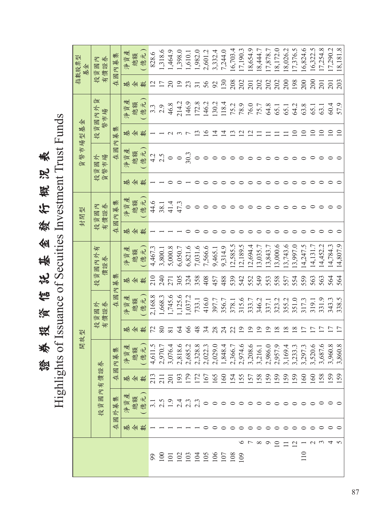證券投資信託基金發行概況表 Highlights of Issuance of Secuities Investment Trust Funds證券投資信託基金發行概況表

| 指數股票型<br>基金 | 投資國內<br>有價證券  | 國內募集                   | 淨資產     | 總額  | (億元)           | 828.6            | 1,318.6              | 1,464.9        | 1,398.0     | 1,610.1          | 1,982.0         | 2,601.2     | 3,332.4           | 7,244.0     | 16,703.4 | 17,190.3                 | 18,654.9                 | 8,444.7  | 17,878.7 | 8,172.0     | 18,026.2 | 17,376.5                 | 16,824.6    | 16,322.5         | 17,254.8               | 17,290.2          | 8,181.8                  |
|-------------|---------------|------------------------|---------|-----|----------------|------------------|----------------------|----------------|-------------|------------------|-----------------|-------------|-------------------|-------------|----------|--------------------------|--------------------------|----------|----------|-------------|----------|--------------------------|-------------|------------------|------------------------|-------------------|--------------------------|
|             |               | 在                      | 輁       | ⋘   | 數              |                  | $\frac{2}{17}$       | $\overline{c}$ | 19          | 23               | $\overline{31}$ | 56          | 92                | 130         | 208      | 202                      | 201                      | 202      | 202      | 202         | 200      | 198                      | 200         | 200              | 201                    | 201               | 203                      |
|             | 貨具<br>投資國內外   |                        | 淨資產     | 總額  | (億元            | $3.\overline{3}$ | 2.9                  | 46.8           | 214.2       | 146.9            | 172.8           | 146.2       | 130.2             | 118.4       | 75.2     | 78.9                     | 76.0                     | 75.7     | 64.8     | 65.1        | 65.1     | 64.2                     | 63.8        | 65.1             | 63.1                   | 60.4              | 57.9                     |
|             |               | 集<br>募<br>区            | 基       | ⋘   | 數              |                  |                      |                |             |                  |                 | $\geq$      | 크                 | ⊻           |          | $\overline{\mathcal{C}}$ | $\overline{\mathcal{C}}$ |          |          |             |          |                          |             | $\Xi$            | $\Xi$                  | $\supseteq$       | $\subseteq$              |
| 貨幣市場型基金     | · 資國外<br>·幣市場 | 國<br>在                 | 淨資產     | 總額  | (億元)           | 4.2              | 2.5                  | $\circ$        |             | $^{0.03}_{0.03}$ |                 | $\circ$     | $\circ$           | $\circ$     | $\circ$  | $\circ$                  | $\circ$                  | ○        |          |             |          |                          |             |                  |                        |                   |                          |
|             | 投貨            |                        | 基       | 俐   | 數              |                  |                      |                |             |                  |                 |             |                   |             |          |                          |                          |          |          |             |          |                          |             |                  |                        |                   |                          |
| 封閉型         | 投資國內<br>有價證券  | 國內募集                   | 淨資產     | 總額  | (億元)           | 44.6             | 38.1                 | 41.4           | 47.3        | $\circ$          | $\circ$         | $\circ$     | $\circ$           |             |          |                          |                          |          |          |             |          |                          |             |                  |                        |                   |                          |
|             |               | 在                      |         | 基金  | 數              |                  |                      |                |             |                  |                 |             |                   |             |          |                          |                          |          |          |             |          |                          |             |                  |                        |                   |                          |
|             | 資國內外有<br>價證券  |                        | 淨資產     | 總額  | (億元)           | 4,467.3          | 3,800.1              | 5,000.8        | 6,050.7     | 6,821.6          | 7,031.6         | 7,566.6     | 9,465.1           | 9,314.9     | 12,585.5 | 2,189.5                  | 0.5694.4                 | 3,035.7  | 13,843.7 | 3,000.6     | 3,743.6  | .3,997.0                 | 4,247.5     | [4, 131.7]       | 4,452.2                | 14,784.3          | 14,807.9                 |
|             | 技             | 集<br>募                 | 基       | 金   | 數              | 210              | 240                  | 271            | 305         | 324              | 358             | 408         | 457               | 488         | 539      | 542                      | 552                      | 549      | 553      | 558         | 557      | 554                      | 559         | 563              | 563                    | 564               | 564                      |
|             | ·資國外<br>價證券   | $\mathbb{R}$<br>國<br>在 | 資資<br>演 | 總額  | 億元)            | 2,168.8          | 1,668.3              | 1,745.6        | 1,125.6     | 1,037.2          | 733.1           | 416.0       | 397.7             | 356.7       | 378.1    | 315.6                    | 333.7                    | 346.2    | 337.1    | 323.2       | 355.2    | 351.0                    | 317.3       | 319.1            | 331.9                  | 343.3             | 338.5                    |
| 開放型         | 投有            |                        | 基       | 金   | 數              | 72               | 80                   | 81             | Z           | 66               | 48              | 34          | 28                | 24          | 22       | $\circ$                  | ್ರ                       | $\circ$  | O        | $\infty$    | $\infty$ | $\infty$                 | L           | Γ                | L,                     |                   | $\overline{\phantom{0}}$ |
|             |               | 內募集                    | 資產<br>淨 | 簿   | $\bar{t}$<br>德 | 11.5             | 70.7<br>$4,6$<br>2.9 | 76.4<br>3,0    | 18.6<br>2,8 | 85.2<br>2,6      | 28.8<br>2,3     | 22.3<br>2,0 | 29.0<br>2,0       | 48.4<br>1,8 | 66.7     | 74.6                     | 08.6                     | 16.1     | 86.0     | 57.9        | 69.4     | 33.3<br>32               | 97.3<br>3,2 | 20.6<br>3,5      | 87.6<br>$3,9$<br>$3,9$ | 60.8              | 60.8<br>3,8              |
|             | 內有價證券         | 國<br>在                 |         |     | 基金數            |                  |                      |                |             |                  |                 |             | 167<br>168<br>160 |             |          |                          | 154<br>155<br>158        |          | 159      | 159         |          | <b>159</b>               | 160         | $\overline{160}$ |                        | $\frac{158}{159}$ |                          |
|             | 國<br>資<br>投   | 外募集                    | 達<br>淨資 | 總額  | 億元)            | $\sim$           |                      | 1.9            |             |                  |                 |             |                   |             |          |                          |                          |          |          |             |          |                          |             | $\circ$          | $\circ$ $\circ$        |                   | $\circ$                  |
|             |               | 國<br>在                 |         | 基金數 |                |                  |                      |                |             |                  |                 |             |                   |             |          |                          |                          |          |          |             |          |                          |             |                  |                        |                   |                          |
|             |               |                        |         |     |                |                  |                      |                |             |                  |                 |             |                   |             |          |                          | 5<br>1<br>9              | $\infty$ | ⌒        | $\subseteq$ |          | $\overline{\mathcal{C}}$ | 110         |                  |                        |                   |                          |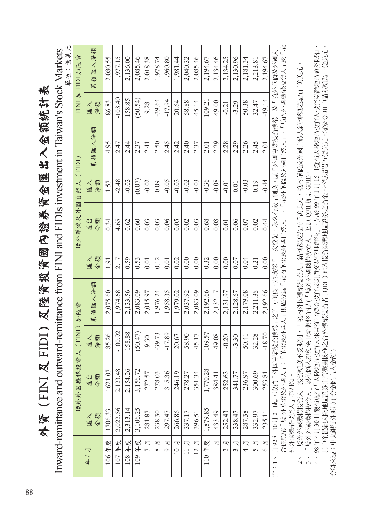外資(FINI及FIDI)及陸資投資國內證券資金匯出入金額統計表 外資(FINI 及 FIDI)及陸資投資國內證券資金匯出入金額統計表

Inward-remittance and outward-remittance from FINI and FIDIs investment in Taiwan's Stock Markets Inward-remittance and outward-remittance from FINI and FIDIs investment in Taiwan's Stock Markets

| 單位:億美元 | FINI 加 FIDI 加陸資   | 累積匯入淨額       | 2,080.55 | 1,977.15  | 2,136.00 | 2,085.46 | 2,018.38            | 1,978.74      | 1,960.80     | 1,981.44 | 2,040.32      | 2,085.46            | 2,194.67 | 2,134.46 | 2,134.25                      | 2,130.96      | 2,181.34 | 2,213.81            | 2,194.67     |                                                   |
|--------|-------------------|--------------|----------|-----------|----------|----------|---------------------|---------------|--------------|----------|---------------|---------------------|----------|----------|-------------------------------|---------------|----------|---------------------|--------------|---------------------------------------------------|
|        |                   | 淨額<br>匯入     | 86.83    | $-103.40$ | 158.85   | (50.54)  | 9.28                | $-39.64$      | $-17.94$     | 20.64    | 58.88         | 45.14               | 109.21   | 49.00    | $-0.21$                       | $-3.29$       | 50.38    | 32.47               | $-19.14$     |                                                   |
|        |                   | 累積匯入淨額       | 4.95     | 2.47      | 2.4<br>4 | 2.37     | 2.41                | 2.50          | 2.45         | 2.42     | 2.40          | 2.37                | 2.01     | 2.29     | 2.28                          | 2.29          | 2.26     | 2.45                | 2.01         | 「外國專業投資機構」及「境外華僑及外國人」                             |
|        |                   | 淨額<br>屋人     | 1.57     | $-2.48$   | $-0.03$  | (0.07)   | $-0.02$             | 0.09          | $-0.05$      | $-0.03$  | $-0.02$       | $-0.03$             | $-0.36$  | $-0.08$  | $-0.01$                       | 0.01          | $-0.03$  | 0.19                | $-0.44$      | 制度。原                                              |
|        | 境外華僑及外國自然人 (FIDI) | 金額<br>出<br>圖 | 0.34     | 4.65      | 0.62     | 0.60     | 0.03                | 0.03          | 0.06         | 0.05     | 0.02          | 0.03                | 0.68     | 0.08     | 0.01                          | 0.06          | 0.07     | 0.02                | 0.44         |                                                   |
|        |                   | 金額<br>匯入     | 1.91     | 2.17      | 0.59     | 0.53     | 0.01                | 0.12          | 0.01         | 0.02     | 0.00          | 0.00                | 0.32     | 0.00     | 0.00                          | 0.07          | 0.04     | 0.21                | 0.00         |                                                   |
|        | 加陸資               | 累積匯入淨額       | 2,075.60 | 1,974.68  | 2,133.56 | 2,083.09 | 2,015.97            | 1,976.24      | 1,958.35     | 1,979.02 | 2,037.92      | 2,083.09            | 2,192.66 | 2,132.17 | 2,131.97                      | 2,128.67      | 2,179.08 | 2,211.36            | 2,192.66     | 自 92 年 10 月 2 日起,取消「外國專業投資機構」之許可制度,並改採「一次登記,永久有效」 |
|        | $\lambda$ (FINI)  | 淨額<br>匯入     | 85.26    | $-100.92$ | 158.88   | (50.47)  | 9.30                | $-39.73$      | $-17.89$     | 20.67    | 58.90         | 45.17               | 109.57   | 49.08    | $-0.20$                       | $-3.30$       | 50.41    | 32.28               | $-18.70$     |                                                   |
|        | 境外外國機構投資          | 金額<br>医型     | 1621.07  | 2,123.48  | 2,154.26 | 3,156.72 | 272.57              | 278.03        | 315.36       | 246.19   | 278.27        | 351.34              | 1,770.28 | 384.41   | 252.63                        | 341.77        | 236.97   | 300.69              | 253.81       |                                                   |
|        |                   | 金額<br>屋人     | 1706.33  | 2.022.56  | 2,313.14 | 3,106.25 | 281.87              | 238.30        | 297.47       | 266.86   | 337.17        | 396.51              | 1,879.85 | 433.49   | 252.43                        | 338.47        | 287.38   | 332.97              | 235.11       |                                                   |
|        |                   | 年/月          | 106年度    | 107年度     | 108年度    | 109年度    | 月<br>$\overline{1}$ | 月<br>$\infty$ | 月<br>$\circ$ | 10E      | 月<br>$\equiv$ | 月<br>$\overline{2}$ | 110年度    | 月        | 月<br>$\overline{\mathcal{C}}$ | 月<br>$\infty$ | 月<br>4   | 月<br>$\overline{S}$ | 月<br>$\circ$ | $\overline{\phantom{a}}$<br>--<br>(計              |

合併統稱「境 外華僑及外國人」;「華僑及外國人」則區分為「境內華僑及外國自然人」、「境外華僑及外國自然人」、「境內外國機構投資人」及「境 合併統稱「境 外華僑及外國人」;「華僑及外國人」則區分為「境內華僑及外國自然人」、「境外華僑及外國自然人」、「境內外國機構投資人」及「境 外外國機構投資人」等四類。 外外國機構投資人」等四類。

 2、 「境外外國機構投資人」投資額度不受限制,「境內外國機構投資人」結匯額度為五千萬美元,境內華僑及外國自然人結匯額度為五百萬美元。 「境外外國機構投資人」投資額度不受限制,「境內外國機構投資人」結匯額度為五千萬美元,境內華僑及外國自然人結匯額度為五百萬美元  $\sim$ 

3、 「境外外國機構投資人」累積匯入淨額係重新調整而得 (「境外外國機構投資人」為原 QFII 加原 GFII)。

 4、 98 年 4 月 30 日發布施行「大陸地區投資人來臺從事證券投資及期貨交易管理辦法」,另於 99 年 1 月 15 日發布大陸地區投資人投資臺灣地區證券限額, 其中全體經大陸地區證券主管機關核准之合格機構投資者(QDII)匯入投資臺灣地區證券之資金,不得超過五億美元,每家QDII申請限額為一億美元。 3、「境外外國機構投資人」累積匯入淨額係重新調整而得 (「境外外國機構投資人」為原 QFII 加原 GFII)。<br>4、98 年 4 月 30 日發布施行「大陸地區投資人來臺從事證券投資及期貨交易管理辦法」,另於 99 年 1 月 15 日發布大陸地區投資人投資臺灣地區證券限額 其中全體經大陸地區證券主管機關核准之合格機構投資者 ( QDII ) 匯入投資臺灣地區證券之資金,不得超過五億美元,每家 QDII 申請限額為一億美元 資料來源:中央銀行外匯局 ( 資金匯出入金額 ) 資料來源:中央銀行外匯局 ( 資金匯出入金額 )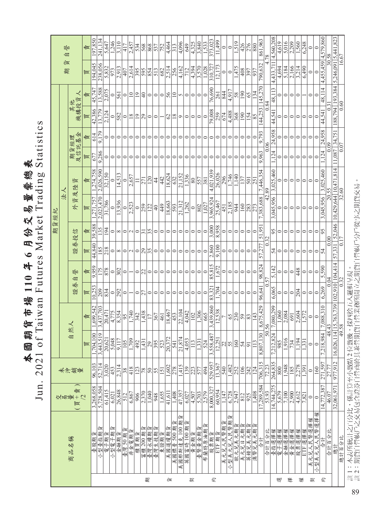| 表                       |                    |
|-------------------------|--------------------|
|                         | U                  |
|                         |                    |
|                         |                    |
|                         | $T_{\rm rad}$ dino |
|                         | rket               |
|                         |                    |
|                         |                    |
|                         |                    |
| 國期貨市場 110年6月份交易量票總      | wan rutures        |
|                         |                    |
|                         |                    |
|                         |                    |
|                         |                    |
|                         | of Tai             |
|                         |                    |
|                         |                    |
| $\overline{\mathbf{r}}$ | 2021               |
|                         |                    |
|                         |                    |

|   |                              |                    |                          |                                       |                  |                 |              |               | 期貨經紀     |                 |                                                                                                             |               |         |                  |                   |                     |                       |
|---|------------------------------|--------------------|--------------------------|---------------------------------------|------------------|-----------------|--------------|---------------|----------|-----------------|-------------------------------------------------------------------------------------------------------------|---------------|---------|------------------|-------------------|---------------------|-----------------------|
|   |                              |                    |                          |                                       |                  |                 |              |               |          | 法人              |                                                                                                             |               |         |                  |                   | 貨<br>期              | 迦<br>自                |
|   | 商品名稱                         | 交易量+21 歳<br>歐      | 未沖銷量                     | 自                                     | 然人               | 證券              | 誉<br>自       | 證券投信          |          | 資及陸<br>外        | 資                                                                                                           | 及信託基金<br>期貨經理 |         | 其他<br>機構投資人      |                   |                     |                       |
|   |                              |                    |                          | 買                                     | 賣                | 買               | 応            | 買             | 応        | 買               | 惆                                                                                                           | 层             | 責       | 買                | 癌                 | 買                   | 賣                     |
|   | ŕщ<br>臺股期                    | 3,268,058          | 96,103                   | 1,704,100                             | 1,699,542        | 0,253           | 9,959        | 44,840        | 39,588   | 1,271,757       | 1,274,758                                                                                                   | 67.           | 614     | 42,386           | 45,747            | 194,045             | 197,850               |
|   | ŕш<br>小型臺指期                  | 5,728,504          | 52,714                   | 3,443,519                             | 3,437,703        | 209             |              | 85            | 35       | 2,023,470       | 2,026,590                                                                                                   | 9,286         | 79      |                  | 3,588             | 238,056             | 241.134               |
|   | 電子期貨                         | 61,415             | 3,020                    | 20,621                                | 20,471           | 834             | 878          | 218           | 194      | 31.786          | 32,150                                                                                                      | 0             |         | 2.124            | 2,075             | 5,832               | 5.647                 |
|   | ने≡र<br>小型電子期                | 6,021              | 453                      | 5,048                                 | 4,775            | $\circ$         | $\circ$      | $\circ$       | $\circ$  | $\circ$         | 0                                                                                                           | $\circ$       | $\circ$ | $\circ$          | $\circ$           | 973                 | 1,246                 |
|   | 金融期貨                         | 26,848             | 2,314                    | $\sqrt{117}$<br>$\circ$               | 8,354            | 292             | 302          | $\infty$      | $\infty$ | 13,936          | 14,513                                                                                                      |               | $\circ$ | 582              | 561               | 2,913               | 3,110                 |
|   | 臺灣 50期貨                      | $\sqrt{512}$       | $\sqrt{8}$               |                                       | $\frac{56}{5}$   | $\circ$         | $\circ$      | $\circ$       | $\circ$  |                 |                                                                                                             |               |         | $\circ$          | $\circ$           | 407                 | $\sqrt{417}$          |
|   | 非金電期                         | 6,867              | 418                      |                                       | 1,740            |                 |              |               |          | 2,523           | 2,657                                                                                                       |               | ⊂       | $\frac{8}{2}$    | $\overline{10}$   | 2,614               | 2,457                 |
|   | 櫃買期貨                         | 906                | 123                      |                                       | 342              | $\circ$         | $\circ$      | $\circ$       | $\circ$  | $\circ$         |                                                                                                             |               |         | $\overline{0}$   | $\overline{19}$   | 395                 | 534                   |
|   | 富櫃 200期貨<br>臺灣永續期貨<br>臺灣生技期貨 | 2,370              | $\frac{8}{2}$            |                                       | 1,438            | 51              | 22           | 29            | ಸ        | 259             | 271                                                                                                         |               |         | 29               | $\overline{40}$   | 595                 | 568                   |
| 期 |                              | 1,040              | $\overline{\mathcal{S}}$ |                                       |                  | $\circ$         | $\circ$      | $\frac{5}{3}$ | 35       | $\sqrt{2}$      | $\overline{120}$                                                                                            |               |         | $\circ$          | $\circ$           | 854                 | 868                   |
|   |                              | 948                | $\overline{55}$          |                                       | 367              | $\circ$         | $\circ$      | $\circ$       | $\circ$  | $\overline{40}$ | $\vert 4$                                                                                                   |               | ⊂       | $\circ$          | $\circ$           | $\overline{513}$    | 537                   |
|   | 東證期貨                         | 1,655              | $\overline{151}$         |                                       | 461              | 0               | 0            | $\circ$       | 0        | $\sqrt{449}$    | 42                                                                                                          |               |         |                  | $\circ$           | 682                 | 752                   |
| 貨 | 美國道瓊期貨                       | 41,611             | 1,602                    |                                       | 18,467           | $\circ$         | 0            | $\circ$       | 0        | 18,663          | 8,624                                                                                                       |               |         | $\mathcal{O}$    | 56                | 2,514               | 4,464                 |
|   | 美國標普 500期                    | 1,408              | 278                      |                                       | 453              | $\circ$         | 0            | $\circ$       | 0        | 593             | 632                                                                                                         |               |         | $18\,$           | $\overline{10}$   | 256                 | 313                   |
|   | 國那斯達克 100期<br>美              | $\frac{47,357}{ }$ | 1,415                    |                                       | 22,104           | 0               |              | 0             | 0        | 21,312          | 21,152                                                                                                      |               |         | $\circ$          | 5                 | 4,162               | 4,096                 |
|   | 英國富時100期                     | 6,027              | 139                      |                                       | 4,042            | 0               |              | 0             | 0        | 1,262           | 1,336                                                                                                       |               |         | $\circ$          | 0                 | 712                 | 649                   |
| 契 | 黄金期貨                         | 4,507              | 223                      |                                       | 102              | $\circ$         |              | $\circ$       | $\circ$  | $\circ$         | $\overline{\ }$ 80                                                                                          |               |         | ⇔                | $\circ$           | 4,394               | 4,325                 |
|   | 臺幣黃金期貨                       | 5,703              |                          |                                       | 1,306            | 0               | 0            | 0             | $\circ$  | 802             | 557                                                                                                         |               |         | $\circ$          | $\circ$           | 3,570               | 3,840                 |
|   | 布蘭特原油期貨                      | 2,579              | 494                      |                                       | 665              | 0               |              | 0             | 0        | 1.027           | 381                                                                                                         |               |         | 0                |                   | 1,028               | 1,533                 |
| 约 | 股票期貨                         | 8,000,327          | 529,957                  |                                       | 3,439,860        | 83,321          | 85,815       | 2,860         | 3,000    | 3,965,924       | 4,021,939                                                                                                   | ⊂             |         | 79,008           | 76,690            | 310,727             | 373,023               |
|   | ETF 期貨                       | 60,954             | 13,367                   |                                       | 12,538           | 704             | ,672         | 9,100         | 8,958    | 25,467          | 26,026                                                                                                      | ⊂             | ⊂       | 259              | 261               | 12,173              | 11,499                |
|   | 美元兒人民幣期貨                     | 1,147              | 540                      |                                       |                  | $\circ$         | $\circ$      | 0             | $\circ$  | 451             | 296                                                                                                         |               |         | 674              | 844               | $\circ$             | $\circ$               |
|   | 小型美元兒人民幣期                    | 6,728              | 1,482                    |                                       | 65               | $\circ$         | $\circ$      | $\circ$       | $\circ$  | 2,185           | 1,746                                                                                                       |               |         | 4,488            | 4,917             | $\circ$             | $\circ$               |
|   | 歐元兌美元期貨                      | 2,947              |                          |                                       | $\overline{230}$ | 0               | 0            | 0             | $\circ$  | 944             | 1,140                                                                                                       |               |         | 368              | 58                | ,475                | 519                   |
|   | 美元兑日元期貨                      | 812                | 106                      | z                                     | 59               | 0               | 0            | 0             | $\circ$  | 160             | 137                                                                                                         | 0             |         | 190              | 190               | 408                 | 426                   |
|   | 英镑兄美元期貨<br>澳幣兄美元期貨           | 925                | $\frac{242}{124}$        |                                       | $ \mathbb{S} $   | $\circ$         | 0            | 0             | 0        | 283             | 501                                                                                                         |               |         | 154              | 65                | 397                 | 276                   |
|   |                              | $\frac{1.408}{ }$  |                          | $\vert$ 2                             | 143              | $\circ$         | $\circ$      | $\circ$       | $\circ$  | 273             | 251                                                                                                         |               |         | $\frac{85}{5}$   | $\overline{134}$  | 937                 | 880                   |
|   | 合計                           | 17,289,584         | 706,315                  | 8,807,130                             | 8,675,429        | 96,641          | 98,824       | 57,277        | 51,951   | 7,383,688       | 7,446,354                                                                                                   | 9,963         | 9,793   | 144,253          | 145,270           | 790,632             | 861,963               |
|   | 合計百分比                        | $\overline{53.93}$ | 72.23                    | 50.56                                 |                  |                 | 57           | 0.32          |          | 42.89           |                                                                                                             | 0.06          |         | 0.84             |                   |                     | 78                    |
|   | 臺指選擇權                        | 14,744,275         | 264,835                  | 212,824<br>7,21                       | 7,080,299        | 6,065           | 5,142        | 54            | 95       | 045,956<br>"    | 3,025,460                                                                                                   | 1.124         | 24,958  | 44,541           | 48,11             | 4,433,71            | 4,560,208             |
| 脚 | 電子選擇權                        | 5.679              | 800                      |                                       | 1,060            | $\circ$         | 0            | $\circ$       | $\circ$  |                 | $\circ$                                                                                                     | $\circ$       |         | $\circ$          |                   | 4,694               | 4,619                 |
|   |                              | 7,100              | 1,948                    | 916                                   | 2,084            | $\circ$         | $\circ$      | 0             | $\circ$  | $\circ$         | $\circ$                                                                                                     | $\circ$       | $\circ$ | $\circ$          | 0                 | 5.184               | 5,016                 |
| 挥 | 金融選擇權<br>黃金選擇權<br>股票選擇權      | 2,900              | $\frac{185}{2,278}$      | $\frac{54}{3}$                        | 691              | $\circ$         | $\circ$      | $\circ$       | $\circ$  | $\circ$         | $\circ$                                                                                                     | 0             | $\circ$ | $\circ$          | $\circ$           | 2,166               | $\frac{2,209}{1,560}$ |
|   |                              | 4,612              |                          | 194                                   | 2,604            | $\frac{204}{ }$ | $\sqrt{448}$ | $\circ$       | 0        | $\circ$         | $\circ$                                                                                                     | $\circ$       | $\circ$ | ∣⇔               | $\circ$           | 3,214               |                       |
| 權 | ETF 選擇權                      | 7,821              | 1,391                    | $\overline{331}$                      | 1.572            | $\circ$         | $\circ$      | 0             |          | $\circ$         | 0                                                                                                           | 0             | 0       | $\circ$          |                   | 6,490               | 6,248                 |
| 契 | 美元兒人民幣選擇權                    | $\circ$            | $\circ$                  | $\circ$                               | $\circ$          | $\circ$         | 0            | $\circ$       |          | $\circ$         | 0                                                                                                           | 0             |         | $\circ$          |                   | $\circ$             | $\circ$               |
|   | 小型美元兒人民幣選擇權                  | $\circ$            | 160                      | $\circ$                               | $\circ$          | $\circ$         | 0            | $\circ$       | $\circ$  | 0               |                                                                                                             | 0             |         | $\circ$          |                   | 0                   | 0                     |
| 毟 | 合計                           | 14,772,387         | 271,597                  | 8,984<br>7.21                         | 7,088,310        | 6.269           | 5.590        | 54            | 95       | 3,045,956       | 3,025,460                                                                                                   | .124          | 24,958  | 44,541           | 48,114            | 4,455,459 4,579,860 |                       |
|   | 合計百分比                        | 46.07              | 27.77                    | 48.43                                 |                  | 0.04            |              | 0.00          |          | 20.55           |                                                                                                             | 0.09          |         | $\overline{0.3}$ |                   | 30.58               |                       |
|   | 總計                           | 32,061,971         | 977,912                  | $\frac{16,026,114 15,763,739}{49.58}$ |                  | 102,910 104,414 |              |               |          |                 | $\begin{array}{ c c c c }\n 57,331 & 52,046 & 10,429,644 & 10,471,814 & 0.17 & 32.60 & 32.60 & \end{array}$ | 11,087        | 34,751  |                  | 188,794   193,384 | 5,246,091 5,441,823 |                       |
|   | 總計百分比                        |                    |                          |                                       |                  | $\sqrt{0.32}$   |              |               |          |                 |                                                                                                             | 0.07          |         | $\frac{0.60}{0}$ |                   | 16.67               |                       |

註 1:本表所統計之百分比,係計算至小數點 2 位數後,採四捨五入邏輯呈現。<br>註 2:期貨自營帳戶之交易包含證券自營商於其兼營期貨自營業務所開立之期貨自營帳戶分戶從事之期貨交易。 註 2:期貨自營帳戶之交易包含證券自營商於其兼營期貨自營業務所開立之期貨自營帳戶分戶從事之期貨交易。註 1:本表所統計之百分比,係計算至小數點 2 位數後,採四捨五入邏輯呈現。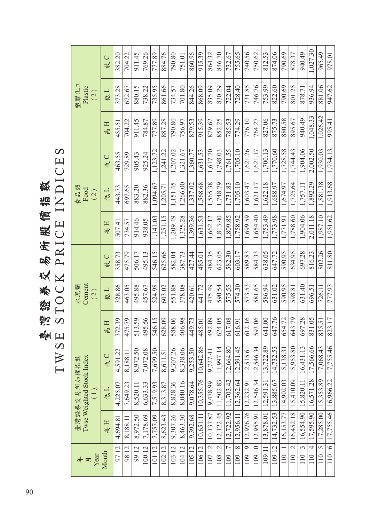臺灣貓將以吃蛋蛋飯經體增數<br>TWSE STOCK PRICE INDICES TWSE STOCK PRICE INDICES 臺灣證券交易所股價指數

| Year<br>#<br>月                 |           | Twse Weighted Stock Index<br>臺灣證券交易所加權指數<br>$\left(\begin{matrix}1\ 1\end{matrix}\right)$ |                          |        | Cement<br>水泥類<br>(2) |        |          | 食品類<br>Food<br>(2) |          |          | 塑膠化工<br>Plastic<br>(2) |          |
|--------------------------------|-----------|-------------------------------------------------------------------------------------------|--------------------------|--------|----------------------|--------|----------|--------------------|----------|----------|------------------------|----------|
| Month                          | 高日        | 低口                                                                                        | 收C                       | 高H     | 低工                   | 收C     | 高日       | 低工                 | 收C       | 高江       | 低工                     | 收C       |
| 9712                           | 4,694.81  | 4,225.07                                                                                  | Ξ.<br>4,591              | 372.39 | 328.86               | 358.73 | 507.41   | 443.73             | 463.55   | 455.51   | 373.28                 | 382.20   |
| 9812                           | 8,188.11  | 7,649.23                                                                                  | $\Xi$<br>8,188.          | 475.79 | 463.05               | 475.79 | 734.57   | 697.65             | 729.89   | 704.22   | 672.67                 | 704.22   |
| 9912                           | 8,972.50  | 8,520.11                                                                                  | .50<br>8,972.            | 513.59 | 495.88               | 506.17 | 914.46   | 883.20             | 905.43   | 911.45   | 880.15                 | 911.45   |
| 10012                          | 7,178.69  | 6,633.33                                                                                  | $08$<br>7,072.           | 495.56 | 457.67               | 495.13 | 938.05   | 882.36             | 925.24   | 784.87   | 738.22                 | 769.26   |
| 10112                          | 7,757.09  | 7.519.93                                                                                  | $\ddot{50}$<br>7,699.    | 546.15 | 524.98               | 546.15 | 1,141.03 | 1.094.67           | 1,123.72 | 777.89   | 735.95                 | 777.89   |
| 10212                          | 8,623.43  | 8,313.87                                                                                  | $\overline{51}$<br>8,611 | 628.09 | 603.02               | 625.66 | 1,251.15 | 1,205.71           | 1,241.22 | 887.28   | 861.66                 | 884.76   |
| 10312                          | 9.307.26  | 8,828.36                                                                                  | .26<br>9,307.            | 588.06 | 551.88               | 582.04 | .209.49  | 1,151.45           | 1,207.02 | 790.80   | 734.57                 | 790.80   |
| 10412                          | 8,463.30  | 8,040.16                                                                                  | 8,338.06                 | 406.98 | 378.08               | 387.73 | 1,325.28 | 1,266.00           | 1,321.67 | 756.97   | 701.80                 | 751.01   |
| 10512                          | 9,392.68  | 9,078.64                                                                                  | 50<br>9,253              | 449.73 | 420.61               | 427.44 | 1,399.36 | 1,337.02           | 1,360.77 | 879.53   | 844.26                 | 860.96   |
| 10612                          | 10,651.11 | 10,355.76                                                                                 | 10,642.86                | 485.01 | 441.72               | 485.01 | 1,631.53 | 1,568.68           | 1,631.53 | 915.39   | 868.09                 | 915.39   |
| 10712                          | 10,137.87 | 9,478.99                                                                                  | $\overline{4}$<br>9,727. | 492.09 | 475.49               | 484.35 | 1,662.12 | 1,565.38           | 1,617.70 | 879.62   | 835.09                 | 864.32   |
| 10812                          | 12,122.45 | 11,502.83                                                                                 | 11,997.14                | 624.05 | 590.54               | 623.05 | 1,813.40 | 1,748.79           | 1,798.03 | 852.25   | 830.29                 | 846.70   |
| $\overline{C}$<br>109          | 12,722.92 | 11,703.42                                                                                 | 1.80<br>12,664           | 617.08 | 575.55               | 582.30 | 1,809.85 | 1,731.83           | 1,761.55 | 785.53   | 722.04                 | 732.67   |
| $\infty$<br>109                | 12,956.11 | 12.362.64                                                                                 | $-45$<br>12,591          | 616.91 | 574.30               | 603.17 | 1,758.92 | 1,705.10           | 1,705.10 | 774.29   | 728.40                 | 755.65   |
| $\overline{\circ}$<br>109      | 12,976.76 | 12,232.91                                                                                 | 12,515.61                | 612.16 | 573.53               | 589.83 | 1,699.59 | 1,603.47           | 1,621.26 | 776.10   | 731.85                 | 740.56   |
| 10910                          | 12,955.91 | 12,546.34                                                                                 | 12,546.34                | 593.06 | 581.65               | 584.33 | 1,654.40 | 1,621.17           | 1,621.17 | 764.27   | 746.76                 | 750.62   |
| 10911                          | 13,878.01 | 12,591.31                                                                                 | 13,722.89                | 641.00 | 586.94               | 638.05 | 1,753.49 | 1,622.18           | 1,700.13 | 827.06   | 753.99                 | 812.53   |
| 10912                          | 14,732.53 | 13,885.67                                                                                 | 14,732.53                | 647.76 | 631.02               | 647.72 | 1,773.98 | 1,688.97           | 1,770.60 | 875.73   | 822.60                 | 874.06   |
| 110                            | 16,153.77 | 14,902.03                                                                                 | 15,138.31                | 654.72 | 590.95               | 590.95 | 1,771.91 | 1,674.97           | 1,728.58 | 880.58   | 790.69                 | 790.69   |
| $\overline{\mathbf{c}}$<br>110 | 16,452.18 | 15,410.09                                                                                 | 8.80<br>15,953           | 643.79 | 598.81               | 634.95 | 1,788.60 | 1,725.64           | 1,744.43 | 895.67   | 801.25                 | 878.37   |
| $\tilde{\epsilon}$<br>110      | 16,554.90 | 15,820.11                                                                                 | $\cdot$ 13<br>16,431     | 697.28 | 631.40               | 697.28 | 1,904.06 | 1,757.11           | 1,904.06 | 940.49   | 878.71                 | 940.49   |
| $\overline{4}$<br>110          | 17,595.90 | 16,571.28                                                                                 | 17,566.66                | 831.05 | 696.51               | 816.23 | 2,011.18 | 1,892.29           | 2,002.50 | 1,048.33 | 936.94                 | 1,027.30 |
| $\overline{5}$<br>110          | 17,285.00 | 15,353.89                                                                                 | 8.43<br>17,068           | 835.51 | 726.11               | 802.26 | 1,987.10 | 1,881.38           | 1,930.03 | 1,026.42 | 881.06                 | 965.49   |
| $\overline{\circ}$<br>110      |           | 17,755.46   16,966.22                                                                     | 17,755.46                | 823.17 | 777.93               | 811.80 | 1,951.62 | 1,913.68           | 1,934.13 | 995.41   | 947.62                 | 978.01   |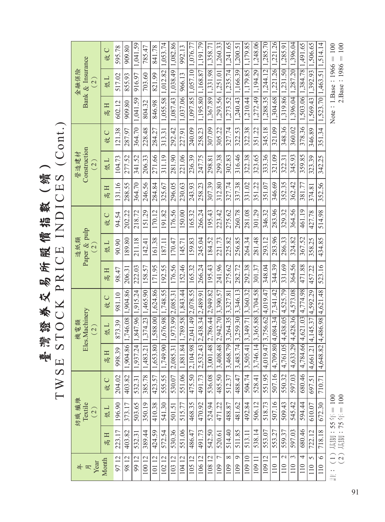臺灣貓將以吸圧 B N N A A A A A A A A A A A A A A A ( )<br>TWSE STOCK PRICE INDICES (Cont.) TWSE STOCK PRICE INDICES (Cont.) 臺灣證券交易所股價指數(續)

| $\frac{4}{5}$ where $\frac{1}{2}$                           |                   | 紡織 纖維<br>Textile<br>(2)    |        |                           | Eles.Machinery<br>機電類<br>(2)      |                            |                   | Paper & pulp<br>造紙類<br>$\left( 2\right)$ |             |                   | Construction<br>營造建材<br>$\left( 2\right)$ |             |                               | Bank & Insurance<br>金融保險<br>$\widetilde{\mathcal{C}}$ |             |
|-------------------------------------------------------------|-------------------|----------------------------|--------|---------------------------|-----------------------------------|----------------------------|-------------------|------------------------------------------|-------------|-------------------|-------------------------------------------|-------------|-------------------------------|-------------------------------------------------------|-------------|
| Month                                                       | $\mathbb{H}$<br>帼 | 低口                         | 收C     | 口气                        | 低工                                | 收C                         | $\mathbb{H}$<br>恒 | 低工                                       | $\cup$<br>收 | $\mathbb{H}$<br>峘 | 低口                                        | $\cup$<br>设 | 高日                            | 低工                                                    | $\cup$<br>收 |
| 9712                                                        | 223.17            | 196.90                     | 204.02 | 998.39                    | 873.39                            | 981.10                     | 98.47             | 90.90                                    | 94.54       | 131.16            | 104.73                                    | 121.38      | 602.12                        | 517.02                                                | 595.78      |
| 9812                                                        | 403.82            | 373.17                     | 403.82 | 1,904.                    | 86 1,746.08                       | 1,904.86                   | 206.3             | 189.80                                   | 202.22      | 288.55            | 277.52                                    | 287.97      | 909.80                        | 855.93                                                | 909.80      |
| 9912                                                        | 532.31            | 503.65                     | 532.31 | 1,937                     | 24 1,847.96                       | 1,915.24                   | 222.03            | 211.18                                   | 218.72      | 364.70            | 341.52                                    | 364.70      | 1,041.59                      | 916.97                                                | ,041.59     |
| 10012                                                       | 389.44            | 350.19                     | 385.78 | 1,483.                    |                                   | 21   1,374.23   1,465.90   | 158.57            | 142.41                                   | 151.29      | 246.56            | 206.33                                    | 228.48      | 804.32                        | 703.60                                                | 785.47      |
| 12<br>101                                                   | 424.59            | 410.38                     | 423.57 | 1,653.                    | 80 1,588.00                       | 1,624.86                   | 171.95            | 161.38                                   | 170.12      | 284.84            | 271.66                                    | 284.27      | 846.98                        | 821.99                                                | 841.78      |
| 10212                                                       | 572.54            | 541.30                     | 555.55 | 1,749.                    |                                   | 90 1,676.98 1,748.55       | 192.55            | 187.11                                   | 191.82      | 325.67            | 311.19                                    | 313.31      | 1,055.58                      | 1,012.82                                              | 1.053.74    |
| $\overline{12}$<br>103                                      | 530.36            | 501.51                     | 530.07 | $\overline{31}$<br>2,085. | 1,973.99 2,085.31                 |                            | 176.56            | 170.47                                   | 176.56      | 296.05            | 281.90                                    | 292.42      | 1,087.43                      | 1,038.49                                              | .,082.86    |
| 10412                                                       | 551.06            | 515.77                     | 551.06 | 1,881                     |                                   | $.84$   1,789.58  1,843.44 | 152.46            | 145.71                                   | 150.00      | 230.63            | 221.06                                    | 227.91      | 1,037.06                      | 966.13                                                | 992.13      |
| 10512                                                       | 486.47            | 468.35                     | 475.50 | 2,104.                    | .98 2.041.49                      | 2,078.55                   | 165.32            | 159.83                                   | 165.32      | 243.93            | 236.39                                    | 240.09      | 1,097.85                      | 1,057.10                                              | 1,076.77    |
| 10612                                                       | 491.73            | 470.92                     | 491.73 | 2,532.                    | $.43 \mid 2,438.34 \mid 2,489.91$ |                            | 266.24            | 245.04                                   | 266.24      | 258.23            | 247.75                                    | 258.23      | 1,195.80                      | 1,168.87                                              | 1,191.79    |
| $\overline{2}$<br>108                                       | 542.50            | 524.94                     | 536.08 | 3,001                     | $.48$   2,786.44  2,949.82        |                            | 195.43            | 184.52                                   | 195.43      | 307.39            | 298.81                                    | 307.09      | 1,367.89                      | 1,331.98                                              | 1,358.71    |
| $\overline{C}$<br>109                                       | 520.61            | 471.22                     | 485.50 | $\frac{3,408}{.}$         | $.48$   2.942.70  3.390.57        |                            | 241.96            | 221.73                                   | 223.42      | 312.80            | 299.38                                    | 305.22      | 1,293.56 1,251.01             |                                                       | 1,260.33    |
| $\infty$<br>109                                             | 514.40            | 488.87                     | 512.37 | 3,468.                    | $.79$   3,264.35  3,327.81        |                            | 275.62            | 225.82                                   | 275.62      | 327.74            | 302.83                                    | 327.74      | 1,273.52                      | 1,235.74                                              | 1.241.65    |
| $\circ$<br>109                                              | 511.85            | 481.62                     | 488.47 | 3,483.                    |                                   | $.74$   3,259.30  3,346.13 | 282.72            | 256.85                                   | 260.78      | 337.38            | 316.46                                    | 322.53      | 1,240.43                      | 1,166.39                                              | 1,200.5     |
| 10910                                                       | 513.11            | 492.84                     | 504.74 | 3,505.                    |                                   | $ 41 $ 3,349.71 3,360.32   | 292.38            | 264.34                                   | 281.08      | 331.02            | 322.38                                    | 322.38      | 1,210.44 1,179.85             |                                                       | 1,179.85    |
| 109 11                                                      | 538.14            | 506.12                     | 528.41 | 3,746.                    |                                   | $.14$   3,365.88  3,704.58 | 301.37            | 281.48                                   | 301.29      | 351.22            | 323.65                                    | 351.22      | 1,272.49                      | 1,194.29                                              | 1,248.06    |
| 12<br>109                                                   | 553.07            | 518.73                     | 551.95 | $-4,019.$                 | $47$   3,756.62  4,019.47         |                            | 348.04            | 293.12                                   | 346.32      | 351.07            | 333.36                                    | 345.18      | 1,288.35                      | 1,244.12                                              | 1,285.70    |
| 110                                                         | 553.27            | 507.16                     | 507.16 | 4,709                     |                                   | .80 4,084.34 7,341.42      | 344.39            | 283.96                                   | 283.96      | 346.69            | 321.09                                    | 321.09      |                               | 1,304.68 1,221.26                                     | 1,221.26    |
| $\mathcal{L}$<br>110                                        | 559.37            | 509.43                     | 550.32 | 4,761                     |                                   | $.05$   4,438.05  4,525.79 | 331.69            | 286.33                                   | 329.32      | 352.35            | 322.31                                    | 348.36      | 1,319.86 1,231.50             |                                                       | 1,285.91    |
| 3<br>110                                                    | 597.03            | 545.42                     | 597.03 | 4,633                     |                                   | $.29$ 4,428.36 4,573.08    | 364.56            | 324.82                                   | 364.56      | 362.42            | 345.93                                    | 360.02      | 1,396.04                      | 1,287.20                                              | 1,396.04    |
| 4<br>110                                                    | 680.46            | 594.44                     | 680.46 | 4,784                     |                                   | $.66$ 4,621.03 4,774.98    | 471.88            | 367.52                                   | 461.19      | 381.77            | 359.85                                    | 378.36      |                               | 1,503.06 1,384.78                                     | $-491.65$   |
| $\sigma$<br>110                                             | 722.12            | 610.07                     | 697.51 | 4,661                     | .21 4,145.37                      | 4,592.29                   | 457.22            | 358.25                                   | 427.78      | 374.81            | 323.39                                    | 346.89      | 1,569.43                      | 1,392.93                                              | .,506.65    |
| $\circ$<br>110                                              | 718.18            | 672.30                     | 710.71 | 4,648.                    |                                   | 82 4,486.98 4,621.48       | 523.16            | 434.85                                   | 514.98      | 352.56            | 342.25                                    |             | 351.34   1,523.70   1,463.51  |                                                       | 1,514.14    |
| $\begin{pmatrix} 1 \end{pmatrix}$<br>(2)<br>$\frac{1}{100}$ |                   | 基期: 55年= 100<br>基期:75年=100 |        |                           |                                   |                            |                   |                                          |             |                   |                                           |             | Note: $1.$ Base: $1966 = 100$ | $2.Base: 1986 = 100$                                  |             |

Note : 1.Base : 1966 = 100<br>2.Base : 1986 = 100 Note: 1.Base:  $1966 = 100$  $2.Base:1986 = 100$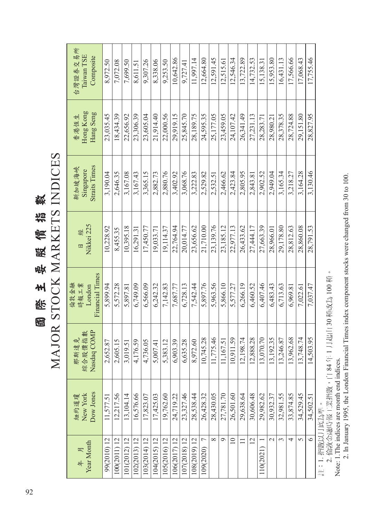國際主要服備指數<br>MAJOR STOCK MARKETS INDICES MAJOR STOCK MARKETS INDICES 國際主要股價指數

| Year Month<br>气<br><b>年</b> | Dow Jones<br>New York<br>紐約道瓊 | Nasdaq COMP<br>綜合股價指數<br>那斯達克 | Financial Times<br>倫敦金融<br>時報工業<br>London | Nikkei 225<br>日 | <b>Straits Times</b><br>新加坡海峽<br>Singapore | Hong Kong<br>Hang Seng<br>香港恆生 | 台灣證券交易所<br>Taiwan TSE<br>Composite |
|-----------------------------|-------------------------------|-------------------------------|-------------------------------------------|-----------------|--------------------------------------------|--------------------------------|------------------------------------|
| 99(2010) 12                 | 11,577.51                     | 2,652.87                      | 5.899.94                                  | 10.228.92       | 3.190.04                                   | 23,035.45                      | 8.972.50                           |
| 100(2011) 12                | 12,217.56                     | 2,605.15                      | 5.572.28                                  | 8.455.35        | 2.646.35                                   | 18,434.39                      | 7.072.08                           |
| $01(2012)$ 12               | 13,104.14                     | 3,019.51                      | 5,897.81                                  | 10,395.18       | 3,167.08                                   | 22,656.92                      | 7,699.50                           |
| $02(2013)$ 12               | 16,576.66                     | 4,176.59                      | 6,749.09                                  | 16.291.31       | 3,167.43                                   | 23,306.39                      | 8,611.5                            |
| $03(2014)$ 12               | 17,823.07                     | 4,736.05                      | 6,566.09                                  | 17,450.77       | 3,365.15                                   | 23,605.04                      | 9,307.26                           |
| (04(2015) 12                | 17,425.03                     | 5,007.41                      | 6.242.32                                  | 19.033.71       | 2,882.73                                   | 21.914.40                      | 8,338.06                           |
| 105(2016) 12                | 19,762.60                     | 5,383.12                      | 7.142.83                                  | 19.114.37       | 2,880.76                                   | 22,000.56                      | 9.253.50                           |
| 106(2017) 12                | 24,719.22                     | 6,903.39                      | 7.687.77                                  | 22.764.94       | 3.402.92                                   | 29,919.15                      | 10.642.86                          |
| 107(2018) 12                | 23,327.46                     | 6,635.28                      | 6,728.13                                  | 20,014.77       | 3,068.76                                   | 25,845.70                      | 9.727.41                           |
| 108(2019) 12                | 28,538.44                     | 8,972.60                      | 7,542.44                                  | 23,656.62       | 3,222.83                                   | 28,189.75                      | 11.997.14                          |
| 109(2020)                   | 26,428.32                     | 10,745.28                     | 5,897.76                                  | 21,710.00       | 2.529.82                                   | 24,595.35                      | 12,664.80                          |
| $\infty$                    | 28,430.05                     | 11,775.46                     | 5,963.56                                  | 23,139.76       | 2,532.51                                   | 25,177.05                      | 12,591.45                          |
| $\circ$                     | 27,781.70                     | 67.51<br>11,1                 | 5,866.10                                  | 23,185.12       | 2,466.62                                   | 23,459.05                      | 12,515.61                          |
| $\equiv$                    | 26,501.60                     | 10,911.59                     | 5,577.27                                  | 22,977.13       | 2,423.84                                   | 24,107.42                      | 12,546.34                          |
| $\Box$                      | 29,638.64                     | 12,198.74                     | 6.266.19                                  | 26.433.62       | 2,805.95                                   | 26.341.49                      | 13.722.89                          |
| 12                          | 30,606.48                     | 12,888.28                     | 6.460.52                                  | 27,444.17       | 2.843.81                                   | 27.231.13                      | 14.732.53                          |
| 10(2021)                    | 29,982.62                     | 13,070.70                     | 6.407.46                                  | 27,663.39       | 2.902.52                                   | 28.283.71                      | 15,138.31                          |
| $\sim$                      | 30,932.37                     | 92.35<br>13,1                 | 6,483.43                                  | 28,966.01       | 2.949.04                                   | 28,980.21                      | 15.953.80                          |
| $\sim$                      | 32,981.55                     | 13,246.87                     | 6,713.63                                  | 29,178.80       | 3,165.34                                   | 28,378.35                      | 16.431.13                          |
| 4                           | 33,874.85                     | 13,962.68                     | 6,969.81                                  | 28,812.63       | 3,218.27                                   | 28,724.88                      | 17,566.66                          |
| $\Omega$                    | 34,529.45                     | 13,748.74                     | 7,022.61                                  | 28,860.08       | 3,164.28                                   | 29,151.80                      | 17,068.43                          |
| $\bullet$                   | 34,502.51                     | 14,503.95                     | 7,037.47                                  | 28,791.53       | 3,130.46                                   | 28,827.95                      | 17,755.46                          |

註:1. 指數以月底為準。

註:1. 指數以月底為準。<br>2. 倫敦金融時報工業指數,自 84 年 1 月起由 30 種改為 100 種。<br>Note: 1.The indices are month end indices. 2. 倫敦金融時報工業指數,自 84 年 1 月起由 30 種改為 100 種。

Note: 1.The indices are month end indices.

2. In January 1995, the London Financial Times index component stocks were changed from 30 to 100. 2. In January 1995, the London Financial Times index component stocks were changed from 30 to 100.